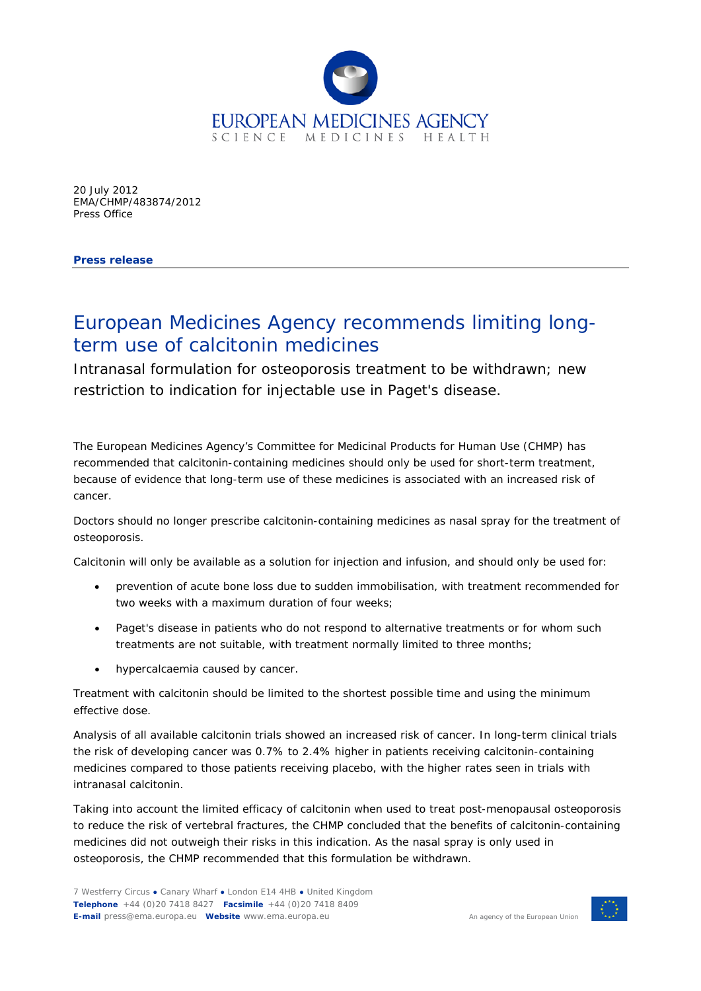

20 July 2012 EMA/CHMP/483874/2012 Press Office

**Press release**

## European Medicines Agency recommends limiting longterm use of calcitonin medicines

Intranasal formulation for osteoporosis treatment to be withdrawn; new restriction to indication for injectable use in Paget's disease.

The European Medicines Agency's Committee for Medicinal Products for Human Use (CHMP) has recommended that calcitonin-containing medicines should only be used for short-term treatment, because of evidence that long-term use of these medicines is associated with an increased risk of cancer.

Doctors should no longer prescribe calcitonin-containing medicines as nasal spray for the treatment of osteoporosis.

Calcitonin will only be available as a solution for injection and infusion, and should only be used for:

- prevention of acute bone loss due to sudden immobilisation, with treatment recommended for two weeks with a maximum duration of four weeks;
- Paget's disease in patients who do not respond to alternative treatments or for whom such treatments are not suitable, with treatment normally limited to three months;
- hypercalcaemia caused by cancer.

Treatment with calcitonin should be limited to the shortest possible time and using the minimum effective dose.

Analysis of all available calcitonin trials showed an increased risk of cancer. In long-term clinical trials the risk of developing cancer was 0.7% to 2.4% higher in patients receiving calcitonin-containing medicines compared to those patients receiving placebo, with the higher rates seen in trials with intranasal calcitonin.

Taking into account the limited efficacy of calcitonin when used to treat post-menopausal osteoporosis to reduce the risk of vertebral fractures, the CHMP concluded that the benefits of calcitonin-containing medicines did not outweigh their risks in this indication. As the nasal spray is only used in osteoporosis, the CHMP recommended that this formulation be withdrawn.